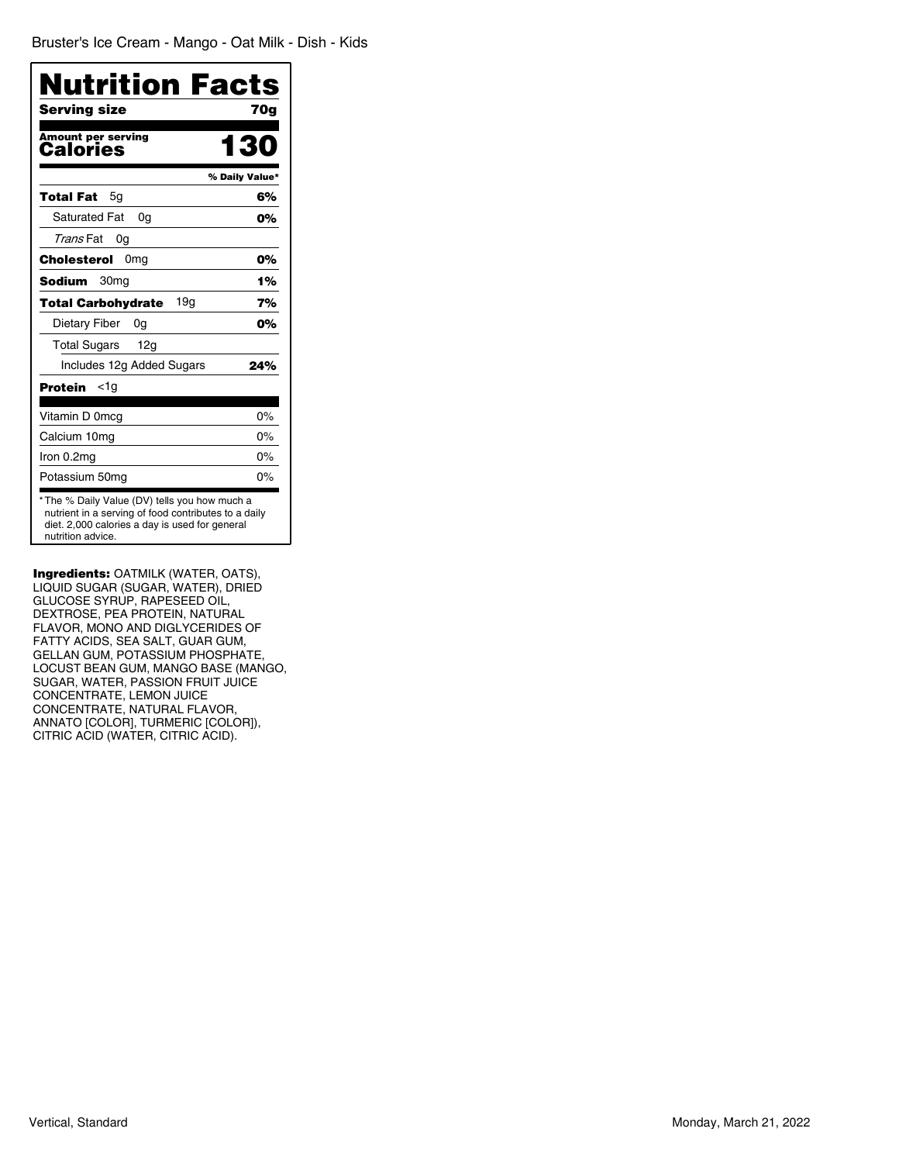| Nutrition Facts<br>Serving size       | 70a            |
|---------------------------------------|----------------|
| Amount per serving<br><b>Calories</b> | 13             |
|                                       | % Daily Value* |
| Total Fat<br>5g                       | 6%             |
| <b>Saturated Fat</b><br>0a            | 0%             |
| Trans Fat<br>0g                       |                |
| Cholesterol<br>0 <sub>mg</sub>        | 0%             |
| 30 <sub>mg</sub><br>Sodium            | 1%             |
| 19q<br><b>Total Carbohydrate</b>      | 7%             |
| Dietary Fiber<br>0g                   | 0%             |
| <b>Total Sugars</b><br>12a            |                |
| Includes 12g Added Sugars             | 24%            |
| Protein<br><1g                        |                |
| Vitamin D 0mcg                        | 0%             |
| Calcium 10mg                          | $0\%$          |
| Iron 0.2mg                            | $0\%$          |
| Potassium 50mg                        | $0\%$          |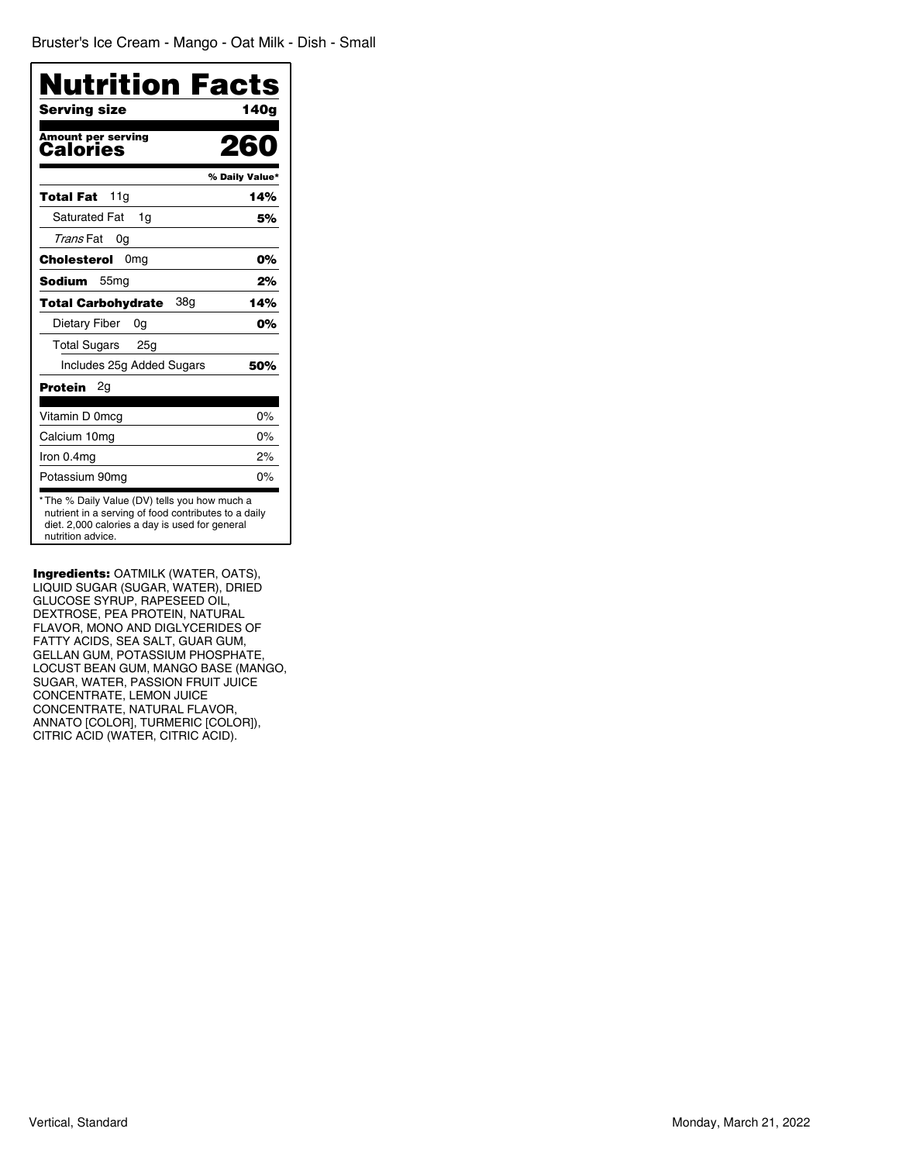| <b>Nutrition Facts</b><br>Serving size                                                                                                                                       | 140a           |
|------------------------------------------------------------------------------------------------------------------------------------------------------------------------------|----------------|
| Amount per serving<br><b>Calories</b>                                                                                                                                        | 260            |
|                                                                                                                                                                              | % Daily Value* |
| 11a<br>Total Fat                                                                                                                                                             | 14%            |
| <b>Saturated Fat</b><br>1q                                                                                                                                                   | 5%             |
| Trans Fat<br>0g                                                                                                                                                              |                |
| <b>Cholesterol</b><br>0mg                                                                                                                                                    | 0%             |
| 55 <sub>mg</sub><br>Sodium                                                                                                                                                   | 2%             |
| 38g<br>Total Carbohydrate                                                                                                                                                    | 14%            |
| Dietary Fiber<br>0g                                                                                                                                                          | 0%             |
| <b>Total Sugars</b><br>25 <sub>g</sub>                                                                                                                                       |                |
| Includes 25g Added Sugars                                                                                                                                                    | 50%            |
| Protein<br>2g                                                                                                                                                                |                |
| Vitamin D 0mcg                                                                                                                                                               | $0\%$          |
| Calcium 10mg                                                                                                                                                                 | $0\%$          |
| Iron 0.4mg                                                                                                                                                                   | 2%             |
| Potassium 90mq                                                                                                                                                               | $0\%$          |
| * The % Daily Value (DV) tells you how much a<br>nutrient in a serving of food contributes to a daily<br>diet. 2,000 calories a day is used for general<br>nutrition advice. |                |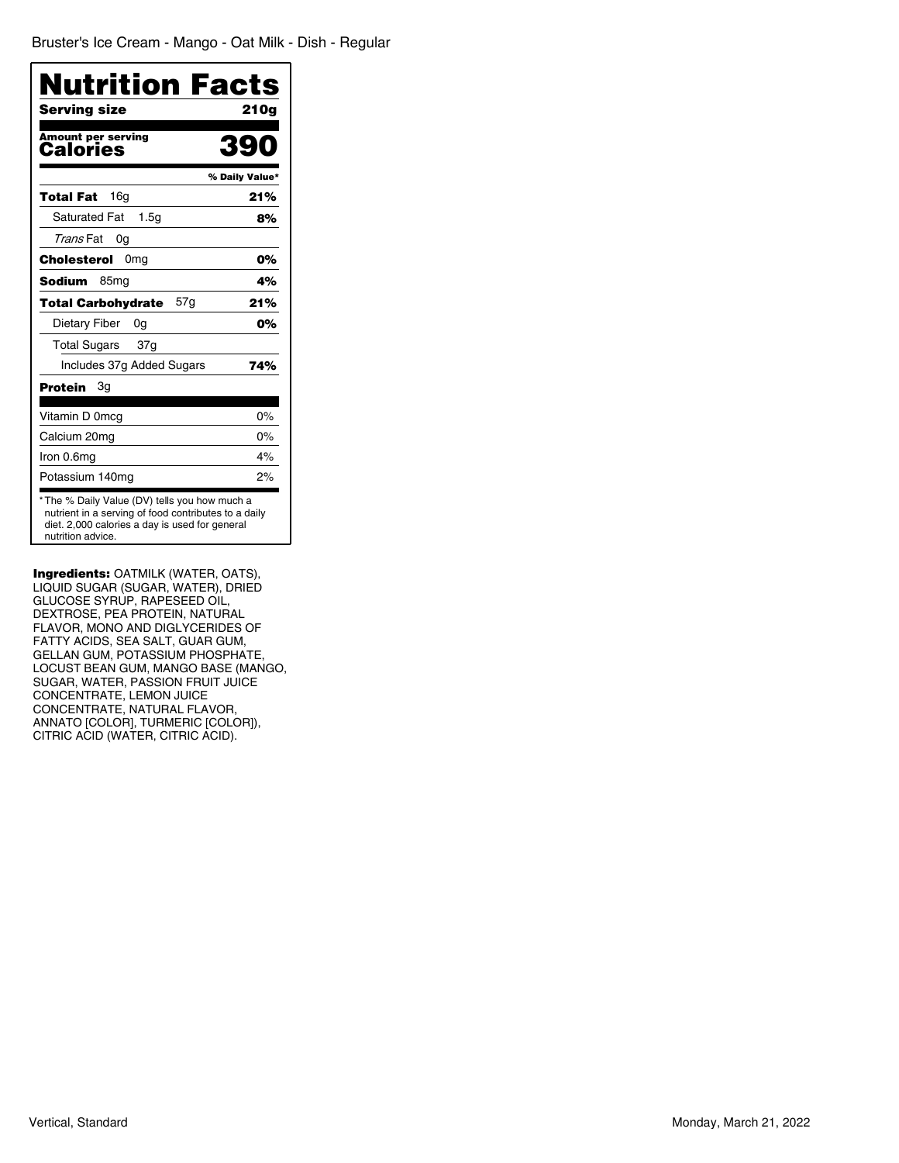| <b>Nutrition Facts</b><br>Serving size                                                                                                                                      | 21 Oa          |
|-----------------------------------------------------------------------------------------------------------------------------------------------------------------------------|----------------|
| <b>Amount per serving</b><br>Calories                                                                                                                                       | 390            |
|                                                                                                                                                                             | % Daily Value* |
| 16a<br>Total Fat                                                                                                                                                            | 21%            |
| <b>Saturated Fat</b><br>1.5 <sub>G</sub>                                                                                                                                    | 8%             |
| Trans Fat<br>0g                                                                                                                                                             |                |
| Cholesterol<br>0 <sub>mg</sub>                                                                                                                                              | 0%             |
| <b>Sodium</b><br>85 <sub>mg</sub>                                                                                                                                           | 4%             |
| 57g<br><b>Total Carbohydrate</b>                                                                                                                                            | 21%            |
| Dietary Fiber<br>0g                                                                                                                                                         | 0%             |
| <b>Total Sugars</b><br>37g                                                                                                                                                  |                |
| Includes 37g Added Sugars                                                                                                                                                   | 74%            |
| Protein<br>Зg                                                                                                                                                               |                |
| Vitamin D 0mcg                                                                                                                                                              | $0\%$          |
| Calcium 20mg                                                                                                                                                                | $0\%$          |
| Iron 0.6mg                                                                                                                                                                  | 4%             |
| Potassium 140mg                                                                                                                                                             | 2%             |
| *The % Daily Value (DV) tells you how much a<br>nutrient in a serving of food contributes to a daily<br>diet. 2,000 calories a day is used for general<br>nutrition advice. |                |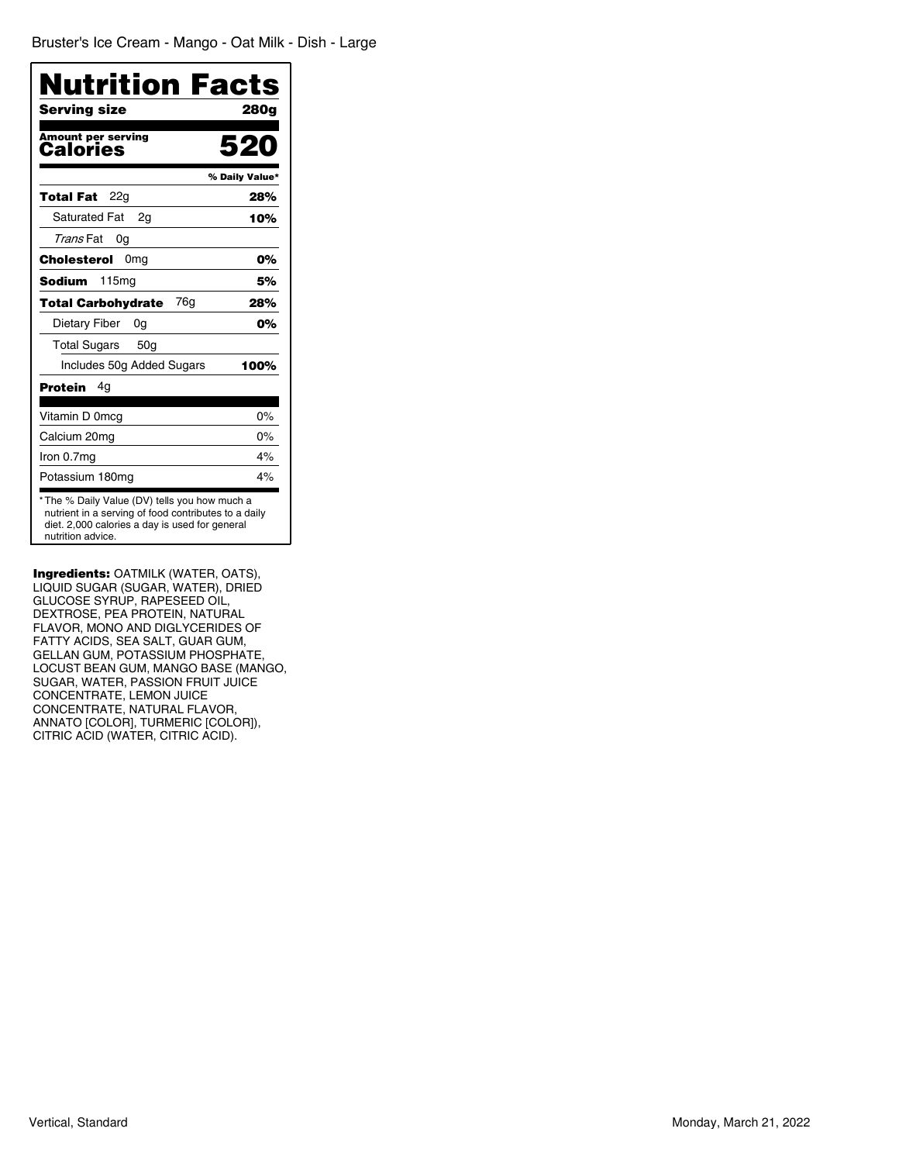| Nutrition Facts<br>Serving size                                                                                                                                             | 280a           |
|-----------------------------------------------------------------------------------------------------------------------------------------------------------------------------|----------------|
| Amount per serving<br><b>Calories</b>                                                                                                                                       | 520            |
|                                                                                                                                                                             | % Daily Value* |
| Total Fat<br>22q                                                                                                                                                            | 28%            |
| <b>Saturated Fat</b><br>2a                                                                                                                                                  | 10%            |
| Trans Fat<br>0g                                                                                                                                                             |                |
| <b>Cholesterol</b><br>0mg                                                                                                                                                   | 0%             |
| <b>Sodium</b><br>115 <sub>mq</sub>                                                                                                                                          | 5%             |
| 76g<br><b>Total Carbohydrate</b>                                                                                                                                            | 28%            |
| Dietary Fiber<br>0g                                                                                                                                                         | 0%             |
| <b>Total Sugars</b><br>50a                                                                                                                                                  |                |
| Includes 50g Added Sugars                                                                                                                                                   | 100%           |
| Protein<br>4g                                                                                                                                                               |                |
| Vitamin D 0mcg                                                                                                                                                              | $0\%$          |
| Calcium 20mg                                                                                                                                                                | $0\%$          |
| Iron 0.7mg                                                                                                                                                                  | 4%             |
| Potassium 180mg                                                                                                                                                             | 4%             |
| *The % Daily Value (DV) tells you how much a<br>nutrient in a serving of food contributes to a daily<br>diet. 2,000 calories a day is used for general<br>nutrition advice. |                |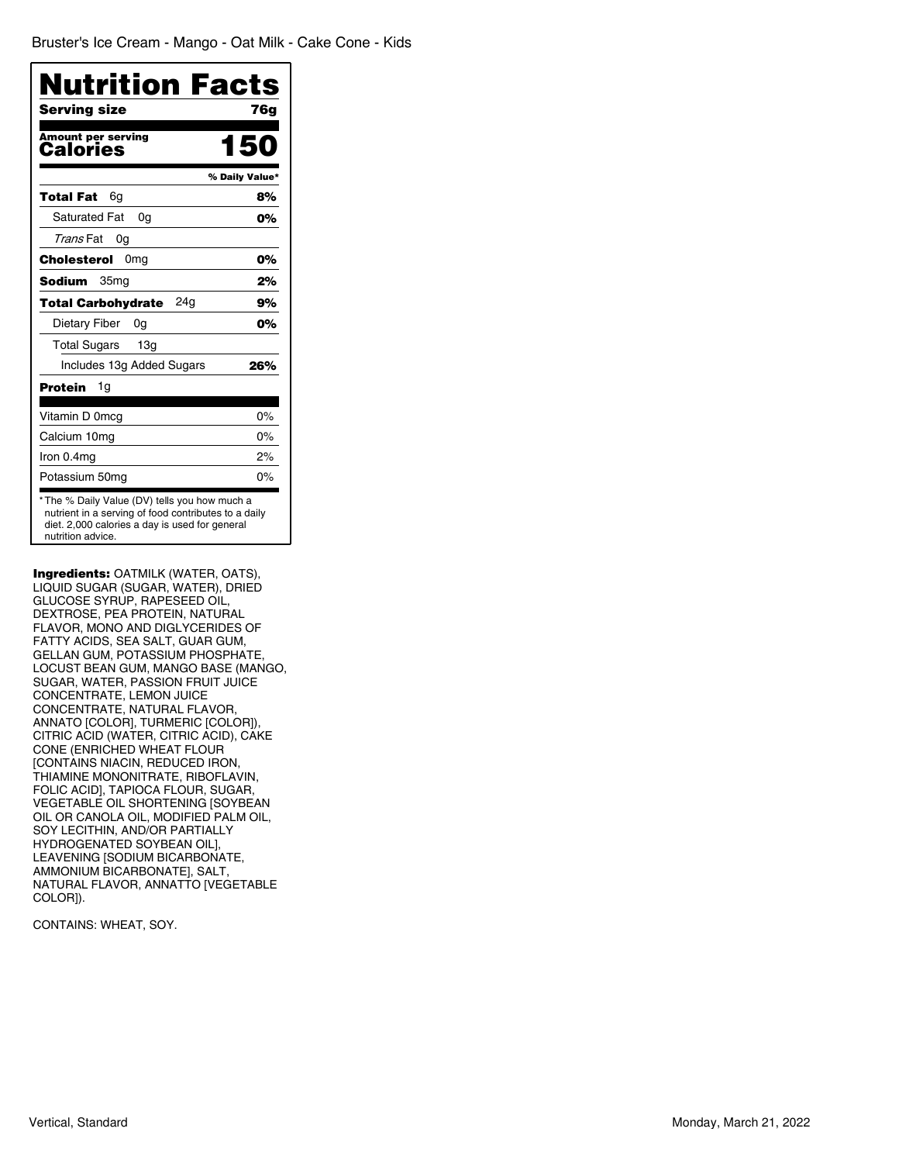| Serving size                          | 76a            |
|---------------------------------------|----------------|
| <b>Amount per serving</b><br>Calories | 150            |
|                                       | % Daily Value* |
| 6g<br>Total Fat                       | 8%             |
| <b>Saturated Fat</b><br>0a            | 0%             |
| Trans Fat<br>0g                       |                |
| Cholesterol<br>0 <sub>mq</sub>        | 0%             |
| 35 <sub>mq</sub><br>Sodium            | 2%             |
| 24g<br>Total Carbohydrate             | 9%             |
| Dietary Fiber<br>0g                   | 0%             |
| 13g<br><b>Total Sugars</b>            |                |
| Includes 13g Added Sugars             | 26%            |
| Protein<br>1g                         |                |
| Vitamin D 0mcg                        | 0%             |
| Calcium 10mg                          | 0%             |
| Iron 0.4mg                            | 2%             |
| Potassium 50mg                        | $0\%$          |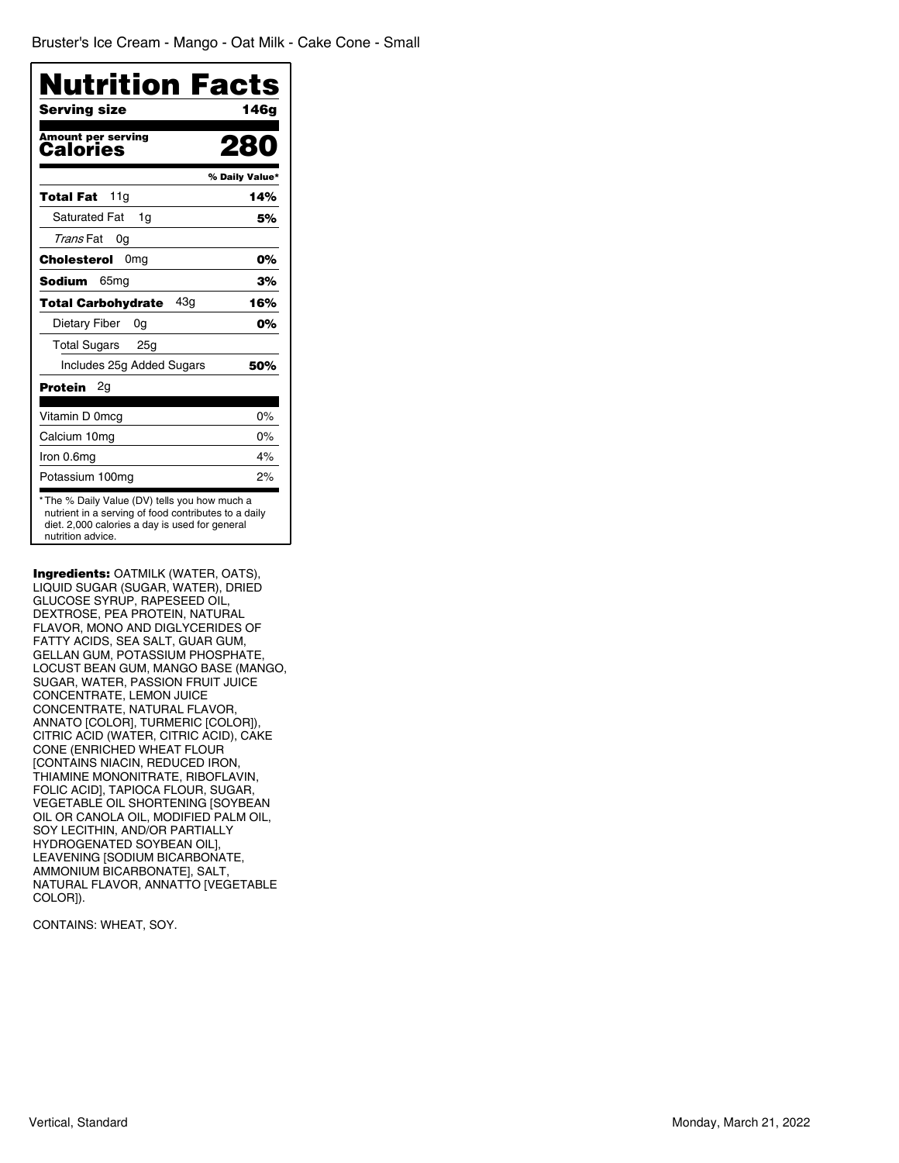| Nutrition Facts                                                                                                                                                             |                |
|-----------------------------------------------------------------------------------------------------------------------------------------------------------------------------|----------------|
| Serving size                                                                                                                                                                | 146a           |
| <b>Amount per serving</b><br>Calories                                                                                                                                       | 28             |
|                                                                                                                                                                             | % Daily Value* |
| 11 <sub>q</sub><br>Total Fat                                                                                                                                                | 14%            |
| <b>Saturated Fat</b><br>1q                                                                                                                                                  | 5%             |
| Trans Fat<br>0g                                                                                                                                                             |                |
| Cholesterol<br>0 <sub>mq</sub>                                                                                                                                              | 0%             |
| 65 <sub>mq</sub><br><b>Sodium</b>                                                                                                                                           | 3%             |
| 43g<br><b>Total Carbohydrate</b>                                                                                                                                            | 16%            |
| Dietary Fiber<br>0g                                                                                                                                                         | 0%             |
| <b>Total Sugars</b><br>25a                                                                                                                                                  |                |
| Includes 25g Added Sugars                                                                                                                                                   | 50%            |
| Protein<br>2g                                                                                                                                                               |                |
| Vitamin D 0mcg                                                                                                                                                              | $0\%$          |
| Calcium 10mg                                                                                                                                                                | $0\%$          |
| Iron 0.6mg                                                                                                                                                                  | 4%             |
| Potassium 100mg                                                                                                                                                             | 2%             |
| *The % Daily Value (DV) tells you how much a<br>nutrient in a serving of food contributes to a daily<br>diet. 2,000 calories a day is used for general<br>nutrition advice. |                |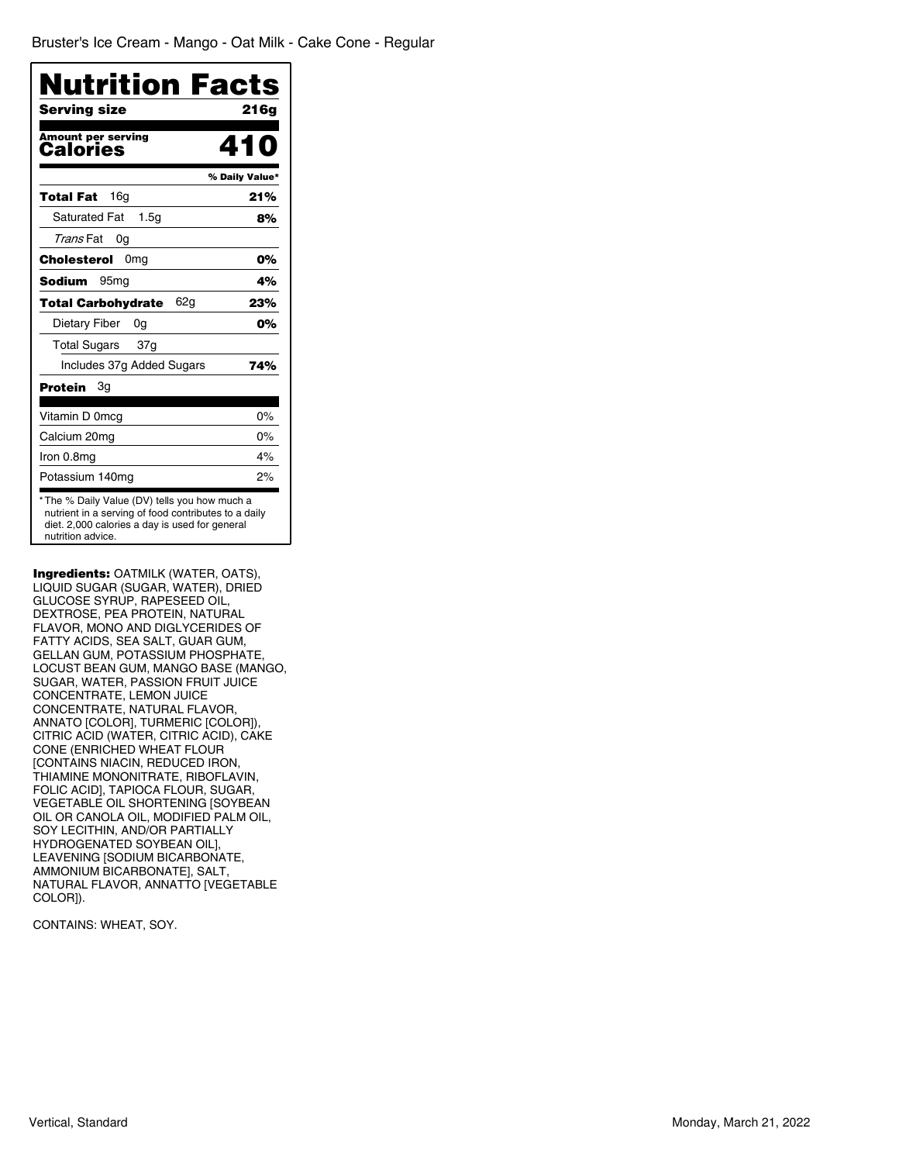| <b>Nutrition Facts</b>                                                                                                                                                      |                |
|-----------------------------------------------------------------------------------------------------------------------------------------------------------------------------|----------------|
| Serving size                                                                                                                                                                | 216a           |
| <b>Amount per serving</b><br>Calories                                                                                                                                       |                |
|                                                                                                                                                                             | % Daily Value* |
| Total Fat<br>16 <sub>g</sub>                                                                                                                                                | 21%            |
| <b>Saturated Fat</b><br>1.5 <sub>G</sub>                                                                                                                                    | 8%             |
| Trans Fat<br>0g                                                                                                                                                             |                |
| Cholesterol 0mg                                                                                                                                                             | 0%             |
| 95 <sub>mq</sub><br>Sodium                                                                                                                                                  | 4%             |
| 62g<br>Total Carbohydrate                                                                                                                                                   | 23%            |
| Dietary Fiber<br>0g                                                                                                                                                         | 0%             |
| <b>Total Sugars</b><br>37g                                                                                                                                                  |                |
| Includes 37g Added Sugars                                                                                                                                                   | 74%            |
| Protein<br>3g                                                                                                                                                               |                |
| Vitamin D 0mcg                                                                                                                                                              | $0\%$          |
| Calcium 20mg                                                                                                                                                                | $0\%$          |
| Iron 0.8mg                                                                                                                                                                  | 4%             |
| Potassium 140mq                                                                                                                                                             | 2%             |
| *The % Daily Value (DV) tells you how much a<br>nutrient in a serving of food contributes to a daily<br>diet. 2,000 calories a day is used for general<br>nutrition advice. |                |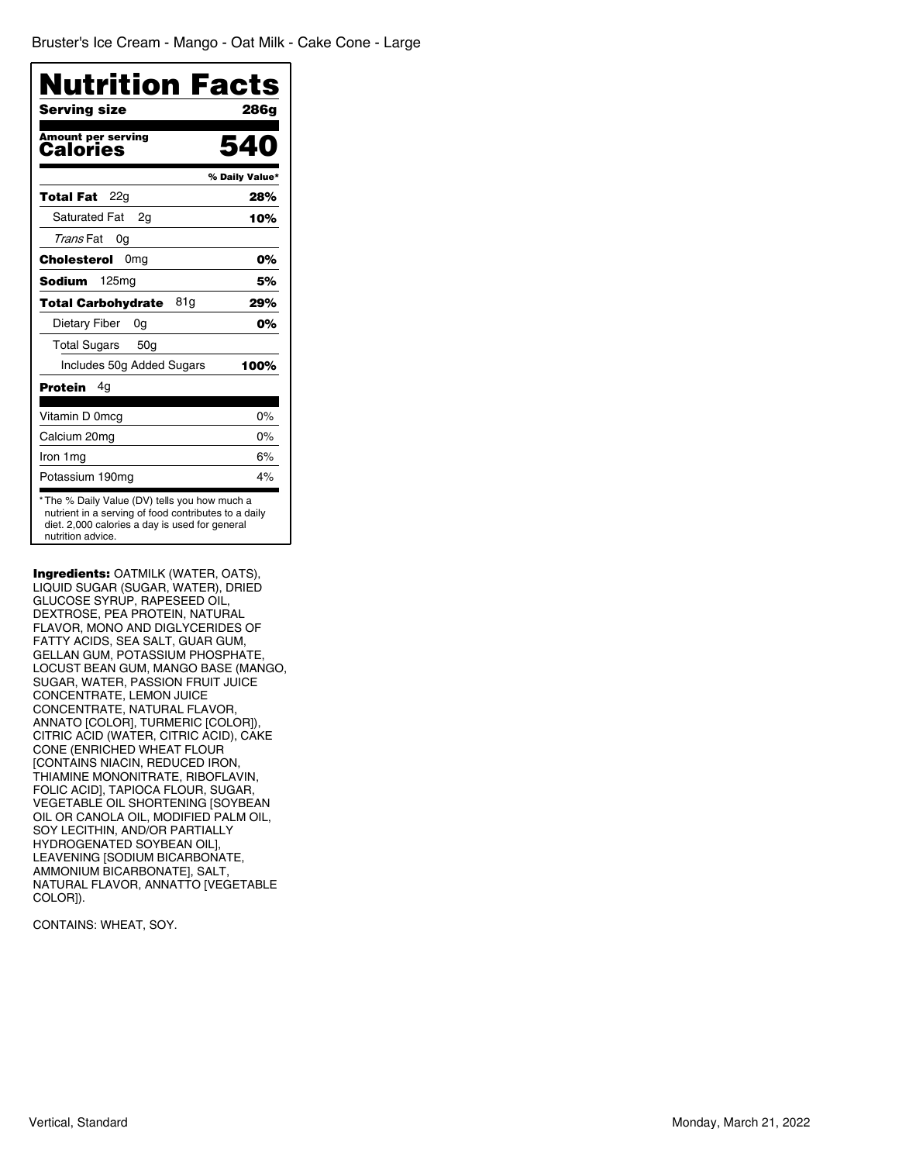| <b>Nutrition Facts</b>                                                                                                                                 |
|--------------------------------------------------------------------------------------------------------------------------------------------------------|
| 286a                                                                                                                                                   |
| 54                                                                                                                                                     |
| % Daily Value*                                                                                                                                         |
| 28%                                                                                                                                                    |
| 10%                                                                                                                                                    |
|                                                                                                                                                        |
| 0%                                                                                                                                                     |
| 5%                                                                                                                                                     |
| 29%                                                                                                                                                    |
| 0%                                                                                                                                                     |
|                                                                                                                                                        |
| 100%                                                                                                                                                   |
|                                                                                                                                                        |
| 0%                                                                                                                                                     |
| $0\%$                                                                                                                                                  |
| 6%                                                                                                                                                     |
| 4%                                                                                                                                                     |
| *The % Daily Value (DV) tells you how much a<br>nutrient in a serving of food contributes to a daily<br>diet. 2,000 calories a day is used for general |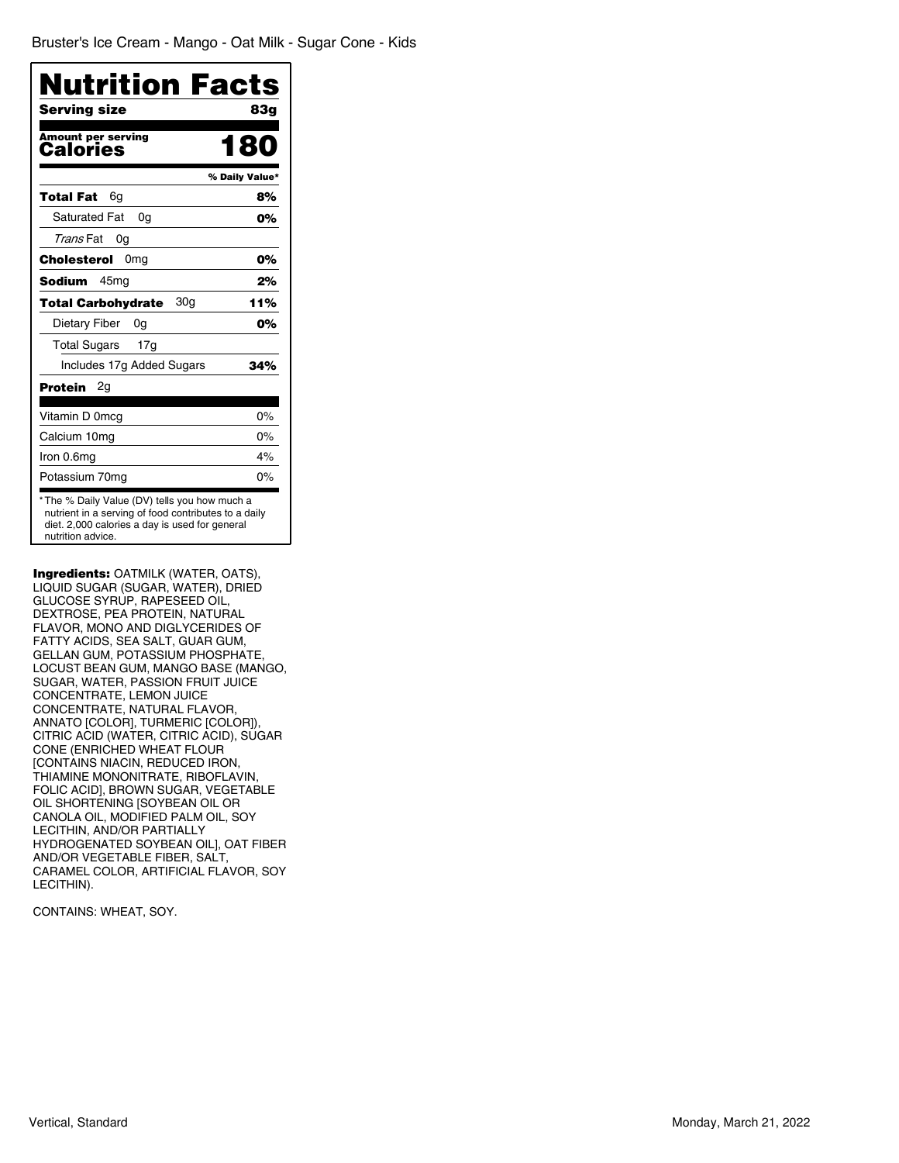| <b>Nutrition Facts</b>                                                                                                                                                      |
|-----------------------------------------------------------------------------------------------------------------------------------------------------------------------------|
| Serving size<br><b>83g</b>                                                                                                                                                  |
| <b>Amount per serving</b><br>180<br>Calories                                                                                                                                |
| % Daily Value*                                                                                                                                                              |
| Total Fat<br>8%<br>6q                                                                                                                                                       |
| <b>Saturated Fat</b><br>0%<br>0a                                                                                                                                            |
| Trans Fat<br>0g                                                                                                                                                             |
| Cholesterol<br>0 <sub>mg</sub><br>0%                                                                                                                                        |
| <b>Sodium</b><br>45mg<br>2%                                                                                                                                                 |
| 30g<br>11%<br><b>Total Carbohydrate</b>                                                                                                                                     |
| Dietary Fiber<br>0%<br>0g                                                                                                                                                   |
| <b>Total Sugars</b><br>17 <sub>q</sub>                                                                                                                                      |
| Includes 17g Added Sugars<br>34%                                                                                                                                            |
| Protein<br>2q                                                                                                                                                               |
| Vitamin D 0mcg<br>0%                                                                                                                                                        |
| 0%<br>Calcium 10mg                                                                                                                                                          |
| 4%<br>Iron 0.6mg                                                                                                                                                            |
| 0%<br>Potassium 70mg                                                                                                                                                        |
| *The % Daily Value (DV) tells you how much a<br>nutrient in a serving of food contributes to a daily<br>diet. 2,000 calories a day is used for general<br>nutrition advice. |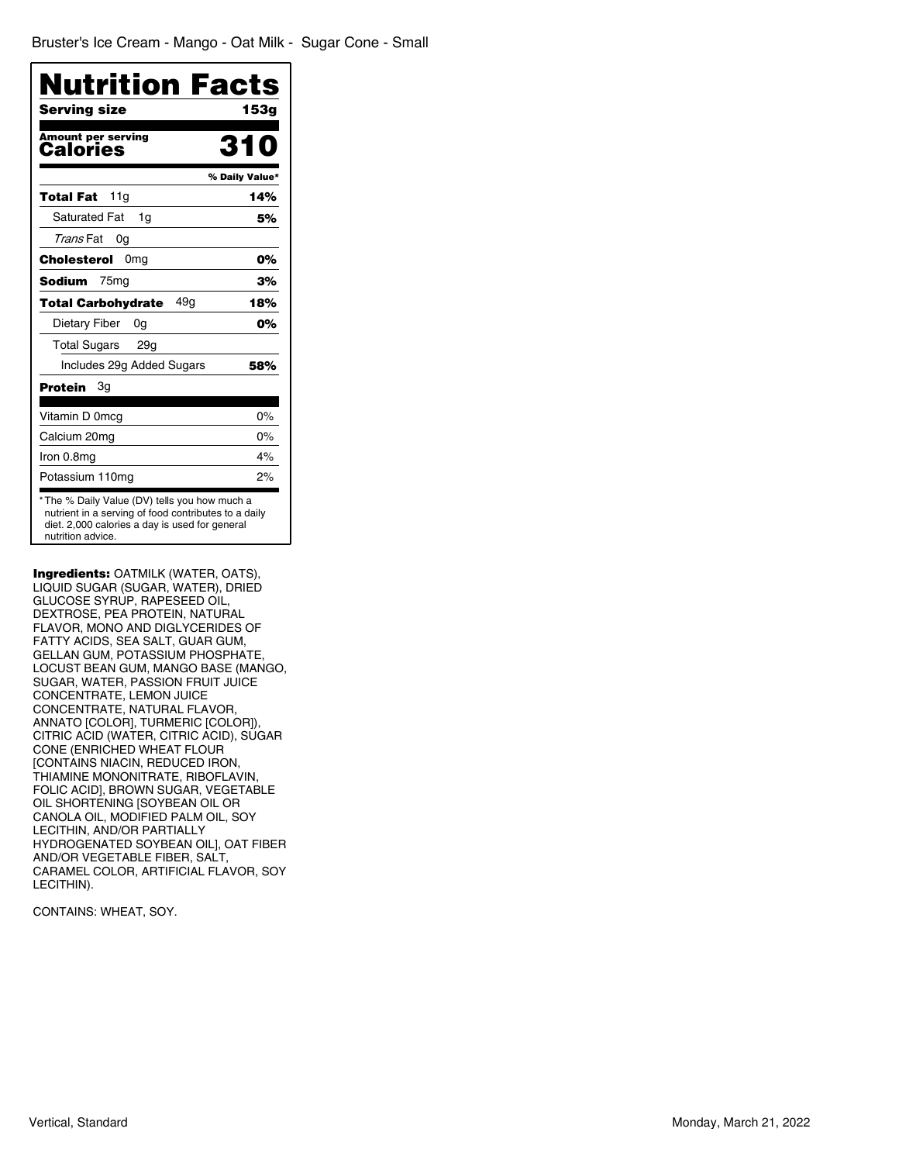| Nutrition Facts                                                                                                                                                             |                |
|-----------------------------------------------------------------------------------------------------------------------------------------------------------------------------|----------------|
| Serving size<br>Amount per serving                                                                                                                                          | 153a           |
| <b>Calories</b>                                                                                                                                                             | % Daily Value* |
| Total Fat<br>11 <sub>q</sub>                                                                                                                                                | 14%            |
| <b>Saturated Fat</b><br>1q                                                                                                                                                  | 5%             |
| Trans Fat<br>0g                                                                                                                                                             |                |
| Cholesterol<br>0 <sub>mg</sub>                                                                                                                                              | 0%             |
| 75 <sub>mg</sub><br><b>Sodium</b>                                                                                                                                           | 3%             |
| 49a<br>Total Carbohydrate                                                                                                                                                   | 18%            |
| Dietary Fiber<br>0g                                                                                                                                                         | 0%             |
| <b>Total Sugars</b><br>29g                                                                                                                                                  |                |
| Includes 29g Added Sugars                                                                                                                                                   | 58%            |
| Protein<br>Зg                                                                                                                                                               |                |
| Vitamin D 0mcg                                                                                                                                                              | $0\%$          |
| Calcium 20mg                                                                                                                                                                | $0\%$          |
| Iron 0.8mg                                                                                                                                                                  | 4%             |
| Potassium 110mg                                                                                                                                                             | 2%             |
| *The % Daily Value (DV) tells you how much a<br>nutrient in a serving of food contributes to a daily<br>diet. 2,000 calories a day is used for general<br>nutrition advice. |                |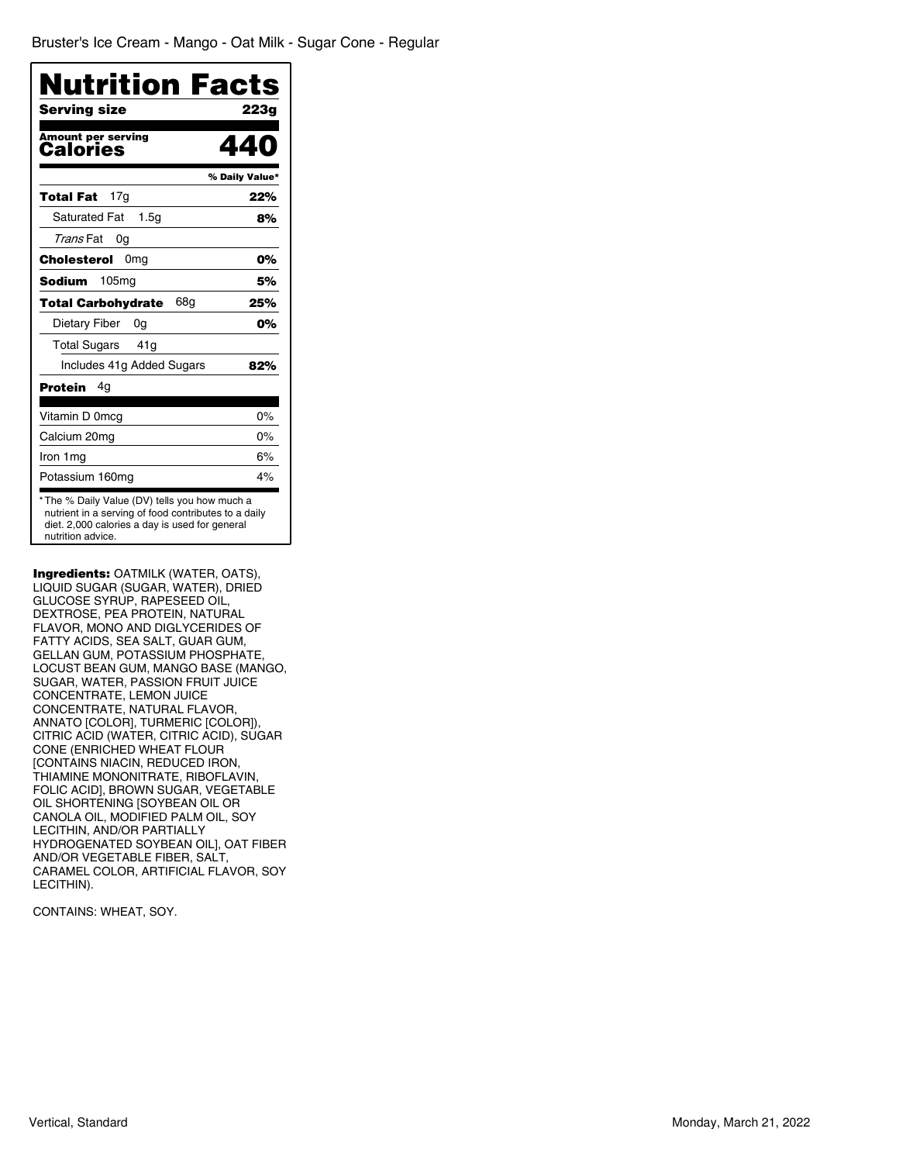| Nutrition Facts                          |                |
|------------------------------------------|----------------|
| Serving size                             | 223a           |
| <b>Amount per serving</b><br>Calories    |                |
|                                          | % Daily Value* |
| 17 <sub>q</sub><br>Total Fat             | 22%            |
| <b>Saturated Fat</b><br>1.5 <sub>G</sub> | 8%             |
| Trans Fat<br>0g                          |                |
| Cholesterol<br>0 <sub>mg</sub>           | 0%             |
| Sodium<br>105mg                          | 5%             |
| 68a<br><b>Total Carbohydrate</b>         | 25%            |
| Dietary Fiber<br>0g                      | 0%             |
| Total Sugars 41g                         |                |
| Includes 41g Added Sugars                | 82%            |
| Protein<br>4g                            |                |
| Vitamin D 0mcg                           | $0\%$          |
| Calcium 20mg                             | $0\%$          |
| Iron 1 mg                                | 6%             |
| Potassium 160mg                          | 4%             |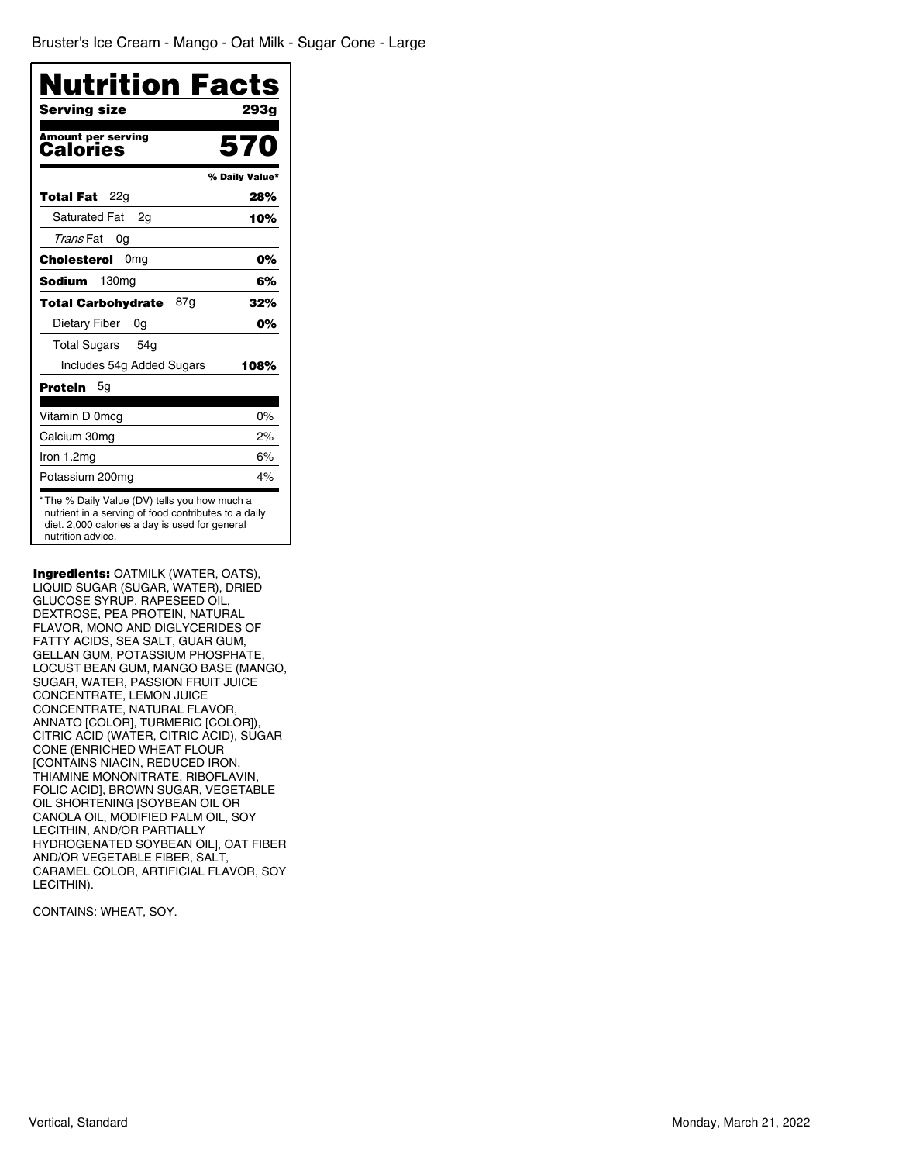| Nutrition Facts                                                                                                                                                             |                |
|-----------------------------------------------------------------------------------------------------------------------------------------------------------------------------|----------------|
| <b>Serving size</b>                                                                                                                                                         | 293g           |
| <b>Amount per serving</b><br>Calories                                                                                                                                       | 570            |
|                                                                                                                                                                             | % Daily Value* |
| Total Fat<br>22a                                                                                                                                                            | 28%            |
| <b>Saturated Fat</b><br>2q                                                                                                                                                  | 10%            |
| Trans Fat<br>0g                                                                                                                                                             |                |
| Cholesterol<br>0 <sub>mg</sub>                                                                                                                                              | 0%             |
| 130 <sub>mq</sub><br>Sodium                                                                                                                                                 | 6%             |
| 87g<br><b>Total Carbohydrate</b>                                                                                                                                            | 32%            |
| Dietary Fiber<br>0g                                                                                                                                                         | 0%             |
| <b>Total Sugars</b><br>54 <sub>q</sub>                                                                                                                                      |                |
| Includes 54g Added Sugars                                                                                                                                                   | 108%           |
| Protein<br>5g                                                                                                                                                               |                |
| Vitamin D 0mcg                                                                                                                                                              | $0\%$          |
| Calcium 30mg                                                                                                                                                                | 2%             |
| Iron 1.2mg                                                                                                                                                                  | 6%             |
| Potassium 200mg                                                                                                                                                             | 4%             |
| *The % Daily Value (DV) tells you how much a<br>nutrient in a serving of food contributes to a daily<br>diet. 2,000 calories a day is used for general<br>nutrition advice. |                |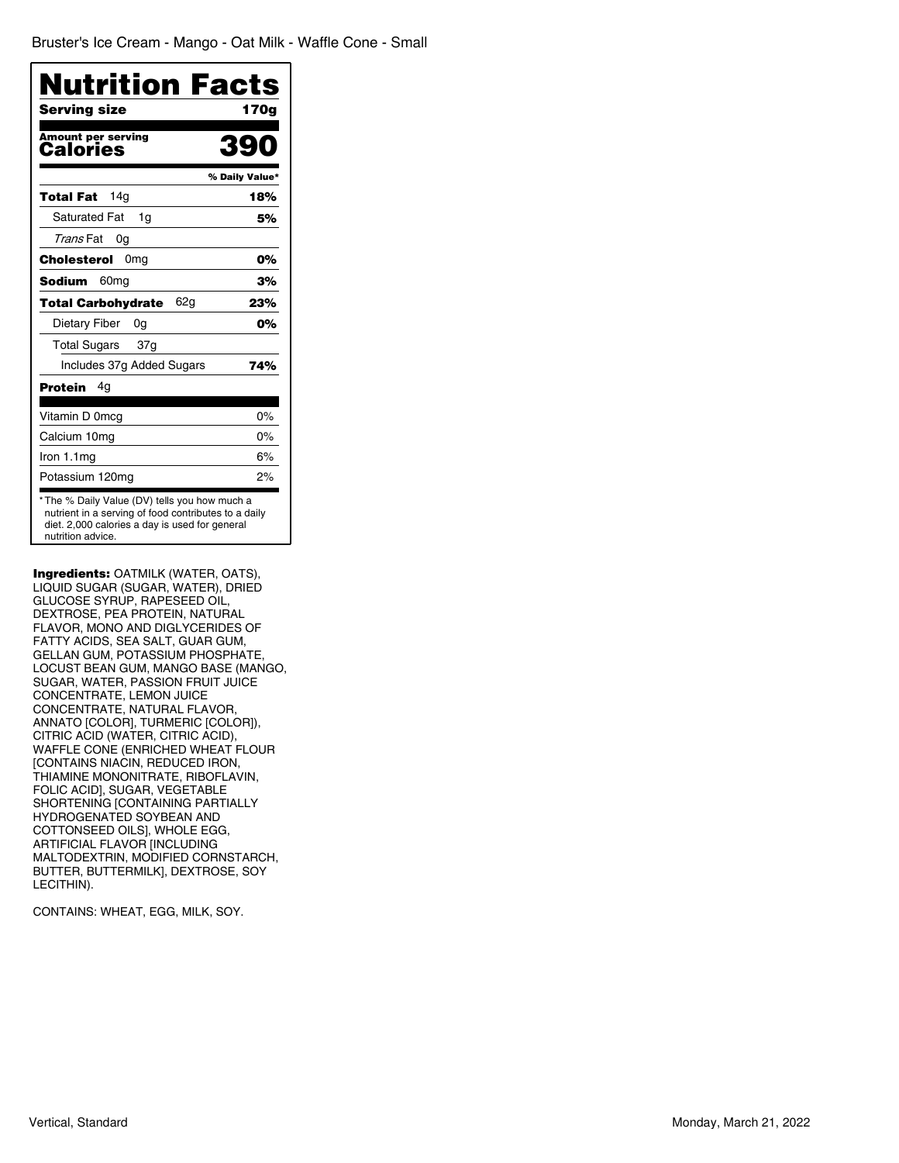|                                              | <b>Nutrition Facts</b> |
|----------------------------------------------|------------------------|
| Serving size                                 | 170a                   |
| <b>Amount per serving</b><br><b>Calories</b> | 39                     |
|                                              | % Daily Value*         |
| 14 <sub>q</sub><br>Total Fat                 | 18%                    |
| <b>Saturated Fat</b><br>1q                   | 5%                     |
| Trans Fat<br>0g                              |                        |
| <b>Cholesterol</b> 0mg                       | 0%                     |
| 60 <sub>mg</sub><br><b>Sodium</b>            | 3%                     |
| 62g<br><b>Total Carbohydrate</b>             | 23%                    |
| Dietary Fiber<br>0g                          | 0%                     |
| <b>Total Sugars</b><br>37g                   |                        |
| Includes 37g Added Sugars                    | 74%                    |
| Protein<br>4g                                |                        |
| Vitamin D 0mcg                               | $0\%$                  |
| Calcium 10mg                                 | $0\%$                  |
| Iron 1.1mg                                   | 6%                     |
| Potassium 120mg                              | 2%                     |

Ingredients: OATMILK (WATER, OATS), LIQUID SUGAR (SUGAR, WATER), DRIED GLUCOSE SYRUP, RAPESEED OIL, DEXTROSE, PEA PROTEIN, NATURAL FLAVOR, MONO AND DIGLYCERIDES OF FATTY ACIDS, SEA SALT, GUAR GUM, GELLAN GUM, POTASSIUM PHOSPHATE, LOCUST BEAN GUM, MANGO BASE (MANGO, SUGAR, WATER, PASSION FRUIT JUICE CONCENTRATE, LEMON JUICE CONCENTRATE, NATURAL FLAVOR, ANNATO [COLOR], TURMERIC [COLOR]), CITRIC ACID (WATER, CITRIC ACID), WAFFLE CONE (ENRICHED WHEAT FLOUR [CONTAINS NIACIN, REDUCED IRON, THIAMINE MONONITRATE, RIBOFLAVIN, FOLIC ACID], SUGAR, VEGETABLE SHORTENING [CONTAINING PARTIALLY HYDROGENATED SOYBEAN AND COTTONSEED OILS], WHOLE EGG, ARTIFICIAL FLAVOR [INCLUDING MALTODEXTRIN, MODIFIED CORNSTARCH, BUTTER, BUTTERMILK], DEXTROSE, SOY LECITHIN).

CONTAINS: WHEAT, EGG, MILK, SOY.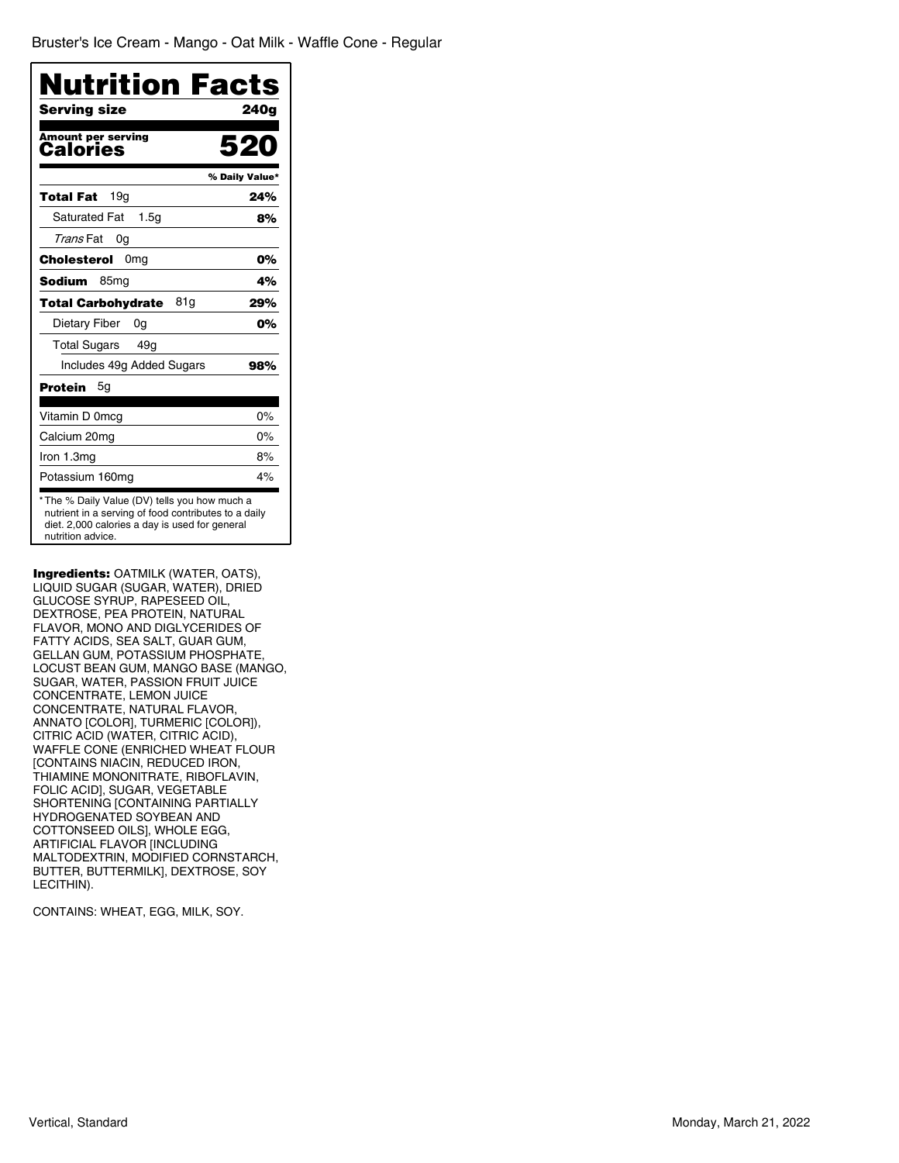| <b>Nutrition Facts</b><br>Serving size                                                                                                                                      | 240a           |
|-----------------------------------------------------------------------------------------------------------------------------------------------------------------------------|----------------|
| <b>Amount per serving</b><br>Calories                                                                                                                                       | 52             |
|                                                                                                                                                                             | % Daily Value* |
| 19g<br>Total Fat                                                                                                                                                            | 24%            |
| <b>Saturated Fat</b><br>1.5 <sub>G</sub>                                                                                                                                    | 8%             |
| <i>Trans</i> Fat<br>0g                                                                                                                                                      |                |
| Cholesterol 0mg                                                                                                                                                             | 0%             |
| 85 <sub>mg</sub><br><b>Sodium</b>                                                                                                                                           | 4%             |
| 81g<br>Total Carbohydrate                                                                                                                                                   | 29%            |
| Dietary Fiber<br>0g                                                                                                                                                         | 0%             |
| <b>Total Sugars</b><br>49g                                                                                                                                                  |                |
| Includes 49g Added Sugars                                                                                                                                                   | 98%            |
| Protein<br>5g                                                                                                                                                               |                |
| Vitamin D 0mcg                                                                                                                                                              | $0\%$          |
| Calcium 20mg                                                                                                                                                                | $0\%$          |
| Iron 1.3mg                                                                                                                                                                  | 8%             |
| Potassium 160mg                                                                                                                                                             | 4%             |
| *The % Daily Value (DV) tells you how much a<br>nutrient in a serving of food contributes to a daily<br>diet. 2,000 calories a day is used for general<br>nutrition advice. |                |

Ingredients: OATMILK (WATER, OATS), LIQUID SUGAR (SUGAR, WATER), DRIED GLUCOSE SYRUP, RAPESEED OIL, DEXTROSE, PEA PROTEIN, NATURAL FLAVOR, MONO AND DIGLYCERIDES OF FATTY ACIDS, SEA SALT, GUAR GUM, GELLAN GUM, POTASSIUM PHOSPHATE, LOCUST BEAN GUM, MANGO BASE (MANGO, SUGAR, WATER, PASSION FRUIT JUICE CONCENTRATE, LEMON JUICE CONCENTRATE, NATURAL FLAVOR, ANNATO [COLOR], TURMERIC [COLOR]), CITRIC ACID (WATER, CITRIC ACID), WAFFLE CONE (ENRICHED WHEAT FLOUR [CONTAINS NIACIN, REDUCED IRON, THIAMINE MONONITRATE, RIBOFLAVIN, FOLIC ACID], SUGAR, VEGETABLE SHORTENING [CONTAINING PARTIALLY HYDROGENATED SOYBEAN AND COTTONSEED OILS], WHOLE EGG, ARTIFICIAL FLAVOR [INCLUDING MALTODEXTRIN, MODIFIED CORNSTARCH, BUTTER, BUTTERMILK], DEXTROSE, SOY LECITHIN).

CONTAINS: WHEAT, EGG, MILK, SOY.